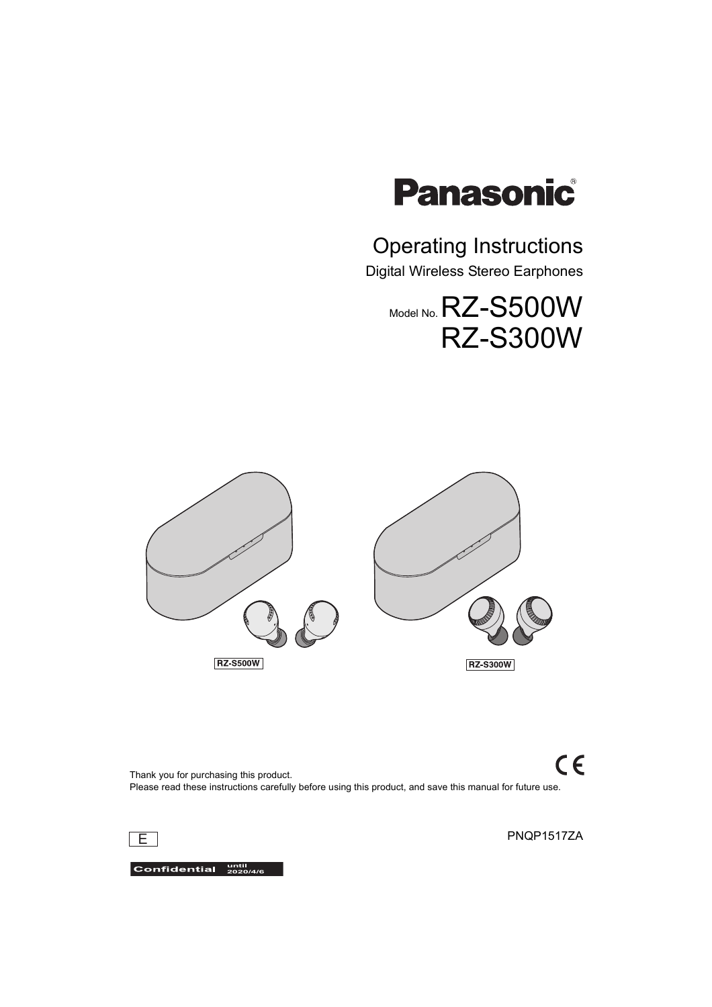

# Operating Instructions

Digital Wireless Stereo Earphones

# Model No. RZ-S500W RZ-S300W



 $C \in$ Thank you for purchasing this product. Please read these instructions carefully before using this product, and save this manual for future use.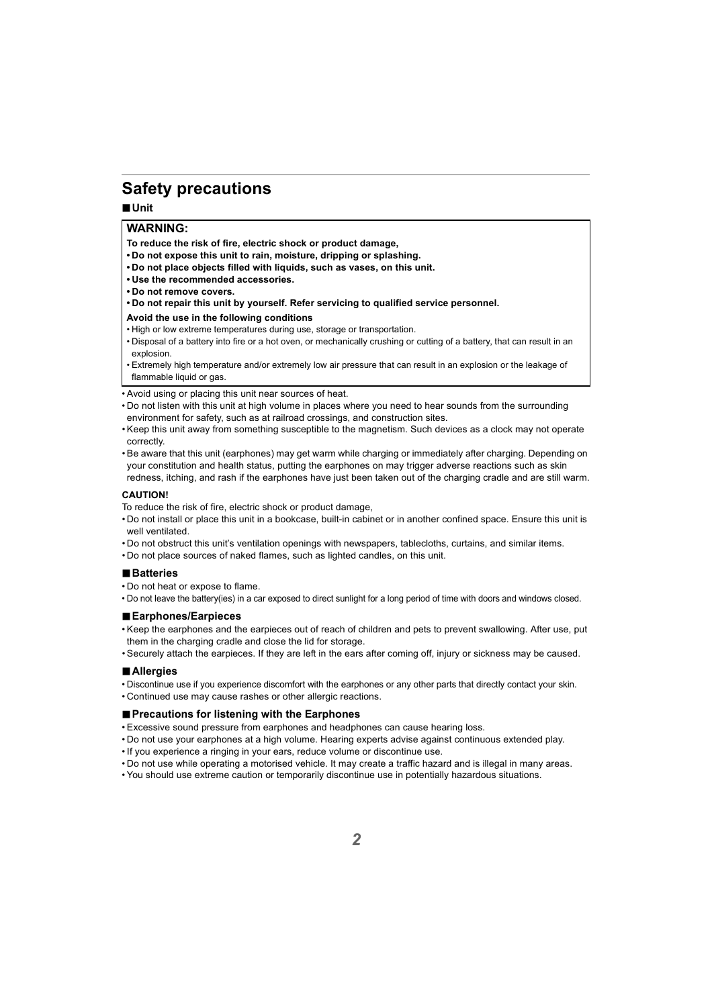# <span id="page-1-0"></span>**Safety precautions**

#### ∫**Unit**

#### **WARNING:**

**To reduce the risk of fire, electric shock or product damage,**

- **Do not expose this unit to rain, moisture, dripping or splashing.**
- **Do not place objects filled with liquids, such as vases, on this unit.**
- **Use the recommended accessories.**
- **Do not remove covers.**
- **Do not repair this unit by yourself. Refer servicing to qualified service personnel.**

#### **Avoid the use in the following conditions**

- High or low extreme temperatures during use, storage or transportation.
- Disposal of a battery into fire or a hot oven, or mechanically crushing or cutting of a battery, that can result in an explosion.
- Extremely high temperature and/or extremely low air pressure that can result in an explosion or the leakage of flammable liquid or gas.
- Avoid using or placing this unit near sources of heat.
- Do not listen with this unit at high volume in places where you need to hear sounds from the surrounding environment for safety, such as at railroad crossings, and construction sites.
- Keep this unit away from something susceptible to the magnetism. Such devices as a clock may not operate correctly.
- Be aware that this unit (earphones) may get warm while charging or immediately after charging. Depending on your constitution and health status, putting the earphones on may trigger adverse reactions such as skin redness, itching, and rash if the earphones have just been taken out of the charging cradle and are still warm.

#### **CAUTION!**

To reduce the risk of fire, electric shock or product damage,

- Do not install or place this unit in a bookcase, built-in cabinet or in another confined space. Ensure this unit is well ventilated.
- Do not obstruct this unit's ventilation openings with newspapers, tablecloths, curtains, and similar items.
- Do not place sources of naked flames, such as lighted candles, on this unit.

#### ∫**Batteries**

- Do not heat or expose to flame.
- Do not leave the battery(ies) in a car exposed to direct sunlight for a long period of time with doors and windows closed.

#### ∫**Earphones/Earpieces**

- Keep the earphones and the earpieces out of reach of children and pets to prevent swallowing. After use, put them in the charging cradle and close the lid for storage.
- Securely attach the earpieces. If they are left in the ears after coming off, injury or sickness may be caused.

#### ∫**Allergies**

- Discontinue use if you experience discomfort with the earphones or any other parts that directly contact your skin.
- Continued use may cause rashes or other allergic reactions.

#### ∫**Precautions for listening with the Earphones**

- Excessive sound pressure from earphones and headphones can cause hearing loss.
- Do not use your earphones at a high volume. Hearing experts advise against continuous extended play.
- If you experience a ringing in your ears, reduce volume or discontinue use.
- Do not use while operating a motorised vehicle. It may create a traffic hazard and is illegal in many areas.
- You should use extreme caution or temporarily discontinue use in potentially hazardous situations.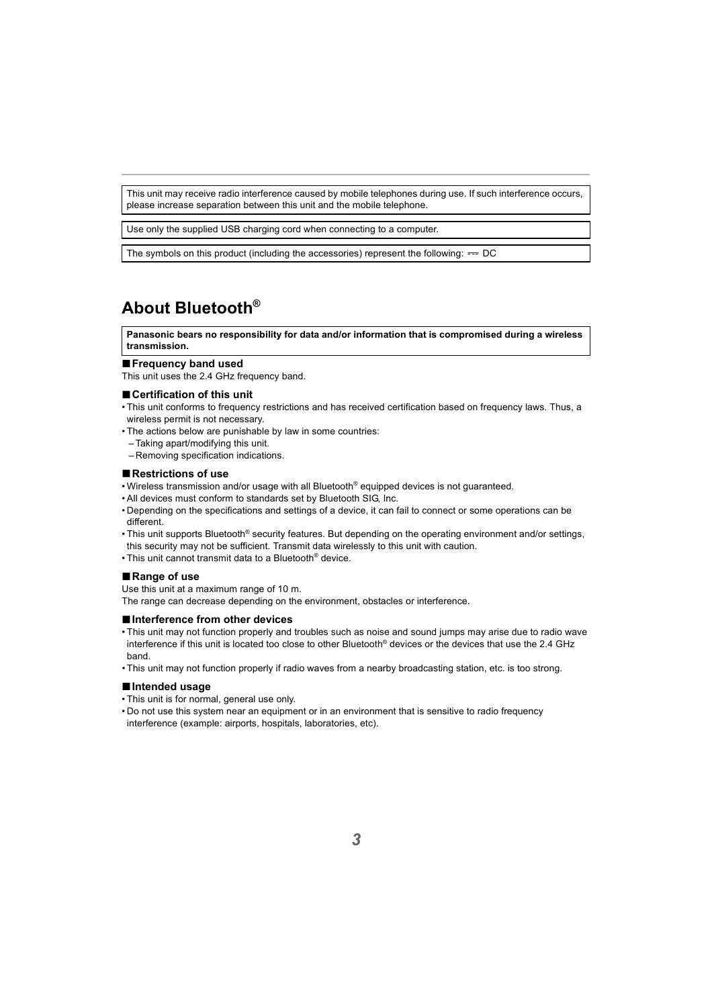This unit may receive radio interference caused by mobile telephones during use. If such interference occurs, please increase separation between this unit and the mobile telephone.

Use only the supplied USB charging cord when connecting to a computer.

The symbols on this product (including the accessories) represent the following:  $==$  DC

# <span id="page-2-0"></span>**About Bluetooth®**

**Panasonic bears no responsibility for data and/or information that is compromised during a wireless transmission.**

#### ∫**Frequency band used**

This unit uses the 2.4 GHz frequency band.

#### ∫**Certification of this unit**

- This unit conforms to frequency restrictions and has received certification based on frequency laws. Thus, a wireless permit is not necessary.
- The actions below are punishable by law in some countries:
	- Taking apart/modifying this unit.
	- Removing specification indications.

#### ∫**Restrictions of use**

- Wireless transmission and/or usage with all Bluetooth<sup>®</sup> equipped devices is not guaranteed.
- All devices must conform to standards set by Bluetooth SIG, Inc.
- Depending on the specifications and settings of a device, it can fail to connect or some operations can be different.
- This unit supports Bluetooth® security features. But depending on the operating environment and/or settings, this security may not be sufficient. Transmit data wirelessly to this unit with caution.
- This unit cannot transmit data to a Bluetooth® device.

#### ∫**Range of use**

Use this unit at a maximum range of 10 m.

The range can decrease depending on the environment, obstacles or interference.

#### ∫**Interference from other devices**

- This unit may not function properly and troubles such as noise and sound jumps may arise due to radio wave interference if this unit is located too close to other Bluetooth® devices or the devices that use the 2.4 GHz band.
- This unit may not function properly if radio waves from a nearby broadcasting station, etc. is too strong.

#### ∫**Intended usage**

- This unit is for normal, general use only.
- Do not use this system near an equipment or in an environment that is sensitive to radio frequency interference (example: airports, hospitals, laboratories, etc).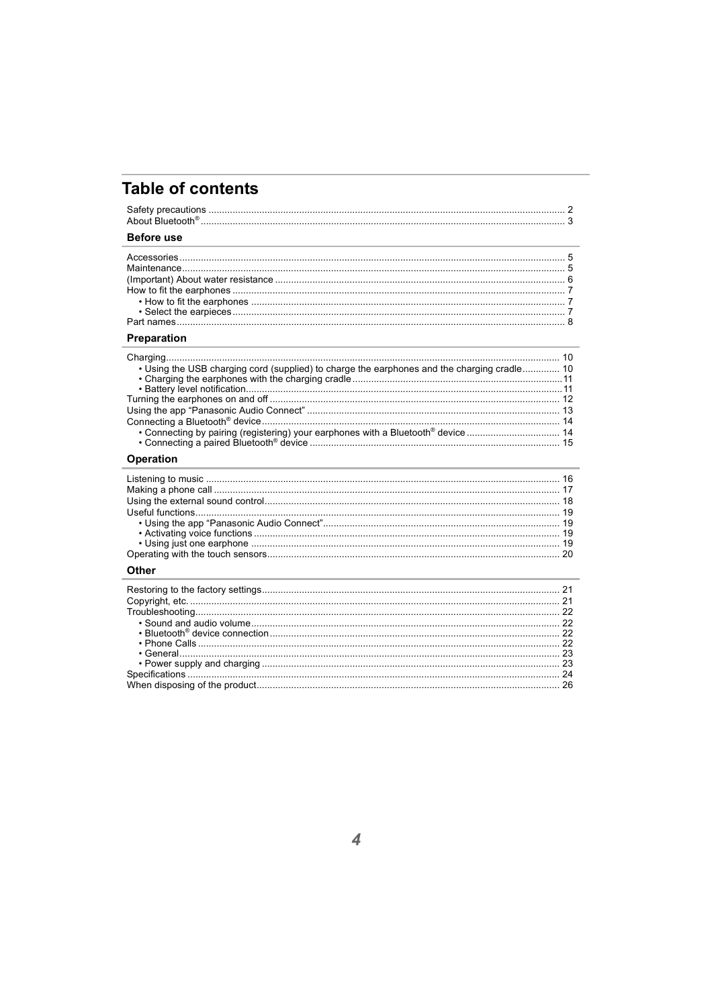# **Table of contents**

# Before use

#### Preparation

| . Using the USB charging cord (supplied) to charge the earphones and the charging cradle 10 |  |
|---------------------------------------------------------------------------------------------|--|
|                                                                                             |  |
|                                                                                             |  |
|                                                                                             |  |
|                                                                                             |  |
|                                                                                             |  |
| • Connecting by pairing (registering) your earphones with a Bluetooth® device  14           |  |
|                                                                                             |  |
|                                                                                             |  |

#### Operation

#### Other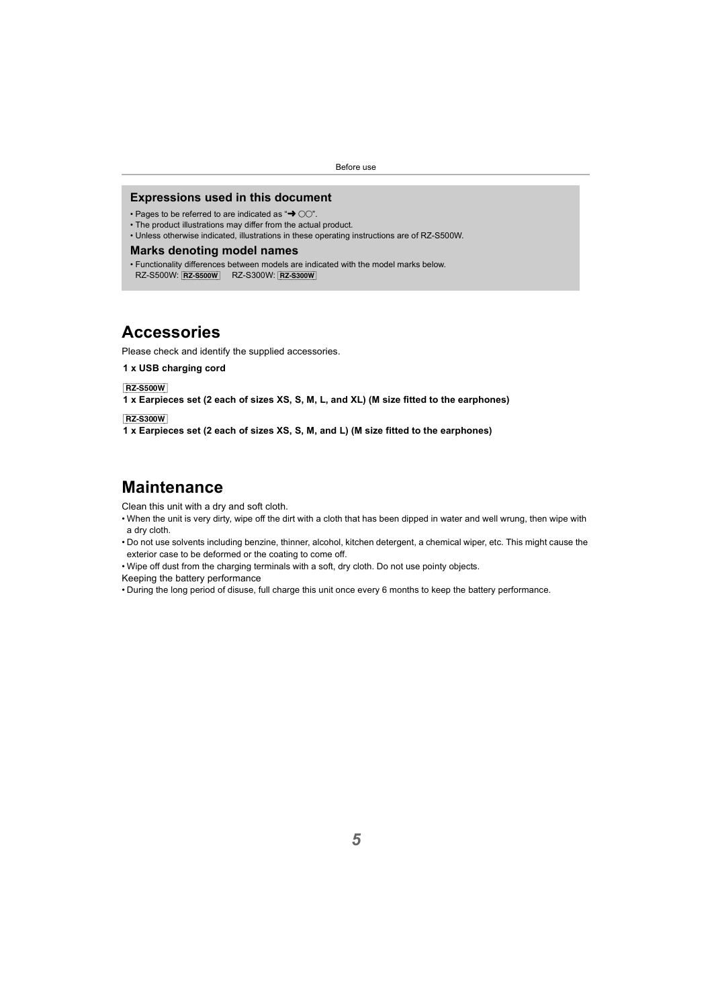#### <span id="page-4-0"></span>**Expressions used in this document**

- Pages to be referred to are indicated as " $\rightarrow$   $\cap$ ".
- The product illustrations may differ from the actual product.
- Unless otherwise indicated, illustrations in these operating instructions are of RZ-S500W.

#### **Marks denoting model names**

• Functionality differences between models are indicated with the model marks below. RZ-S500W: [RZ-S500W] RZ-S300W: [RZ-S300W]

### <span id="page-4-1"></span>**Accessories**

Please check and identify the supplied accessories.

**1 x USB charging cord**

[RZ-S500W]

**1 x Earpieces set (2 each of sizes XS, S, M, L, and XL) (M size fitted to the earphones)**

[RZ-S300W]

**1 x Earpieces set (2 each of sizes XS, S, M, and L) (M size fitted to the earphones)**

### <span id="page-4-2"></span>**Maintenance**

Clean this unit with a dry and soft cloth.

- When the unit is very dirty, wipe off the dirt with a cloth that has been dipped in water and well wrung, then wipe with a dry cloth.
- Do not use solvents including benzine, thinner, alcohol, kitchen detergent, a chemical wiper, etc. This might cause the exterior case to be deformed or the coating to come off.
- Wipe off dust from the charging terminals with a soft, dry cloth. Do not use pointy objects.

Keeping the battery performance

• During the long period of disuse, full charge this unit once every 6 months to keep the battery performance.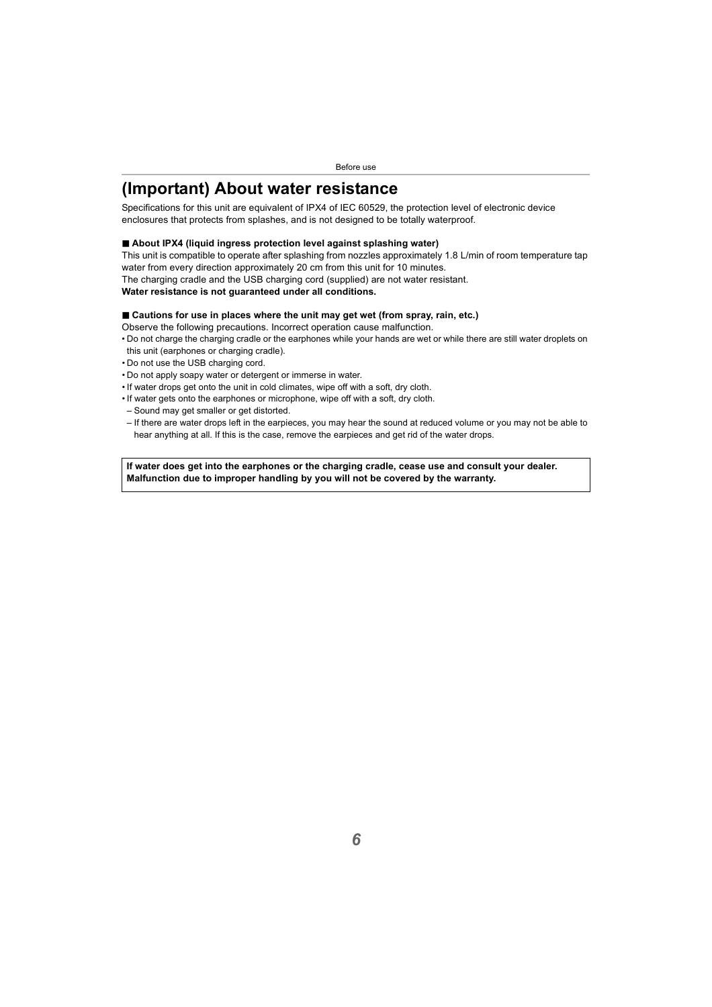# <span id="page-5-0"></span>**(Important) About water resistance**

Specifications for this unit are equivalent of IPX4 of IEC 60529, the protection level of electronic device enclosures that protects from splashes, and is not designed to be totally waterproof.

#### ∫ **About IPX4 (liquid ingress protection level against splashing water)**

This unit is compatible to operate after splashing from nozzles approximately 1.8 L/min of room temperature tap water from every direction approximately 20 cm from this unit for 10 minutes.

The charging cradle and the USB charging cord (supplied) are not water resistant.

#### **Water resistance is not guaranteed under all conditions.**

#### ∫ **Cautions for use in places where the unit may get wet (from spray, rain, etc.)**

Observe the following precautions. Incorrect operation cause malfunction.

- Do not charge the charging cradle or the earphones while your hands are wet or while there are still water droplets on this unit (earphones or charging cradle).
- Do not use the USB charging cord.
- Do not apply soapy water or detergent or immerse in water.
- If water drops get onto the unit in cold climates, wipe off with a soft, dry cloth.
- If water gets onto the earphones or microphone, wipe off with a soft, dry cloth.
- Sound may get smaller or get distorted.
- If there are water drops left in the earpieces, you may hear the sound at reduced volume or you may not be able to hear anything at all. If this is the case, remove the earpieces and get rid of the water drops.

**If water does get into the earphones or the charging cradle, cease use and consult your dealer. Malfunction due to improper handling by you will not be covered by the warranty.**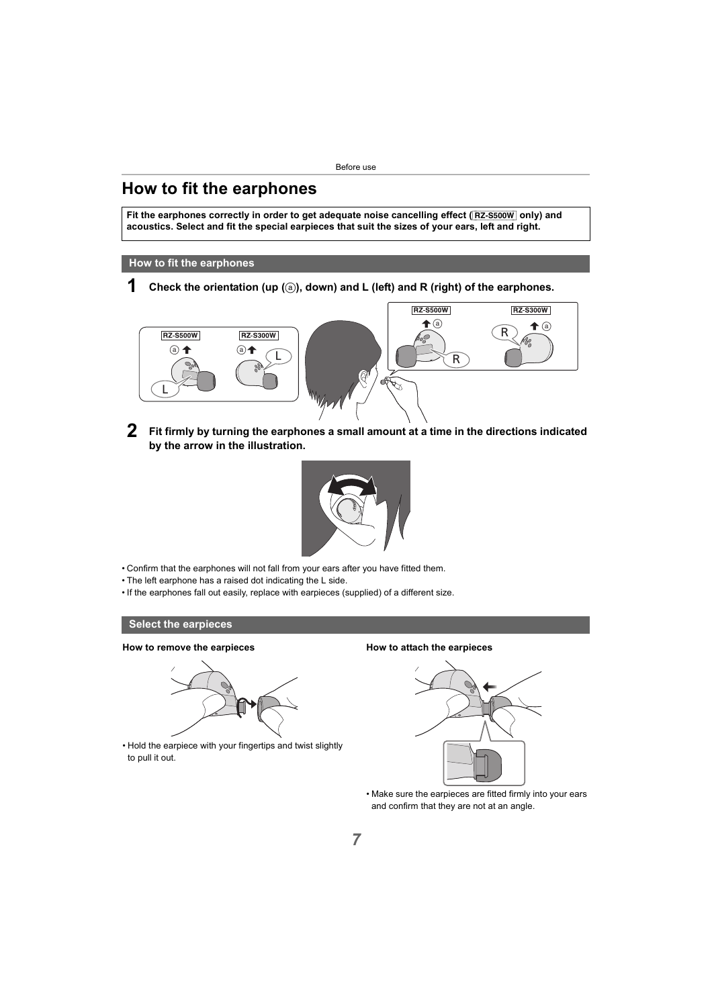# <span id="page-6-0"></span>**How to fit the earphones**

**Fit the earphones correctly in order to get adequate noise cancelling effect (**[RZ-S500W] **only) and acoustics. Select and fit the special earpieces that suit the sizes of your ears, left and right.**

#### <span id="page-6-1"></span>**How to fit the earphones**

**1 Check the orientation (up (**a**), down) and L (left) and R (right) of the earphones.**



**2 Fit firmly by turning the earphones a small amount at a time in the directions indicated by the arrow in the illustration.**



- Confirm that the earphones will not fall from your ears after you have fitted them.
- The left earphone has a raised dot indicating the L side.
- If the earphones fall out easily, replace with earpieces (supplied) of a different size.

#### <span id="page-6-2"></span>**Select the earpieces**

#### **How to remove the earpieces**



• Hold the earpiece with your fingertips and twist slightly to pull it out.

#### **How to attach the earpieces**



• Make sure the earpieces are fitted firmly into your ears and confirm that they are not at an angle.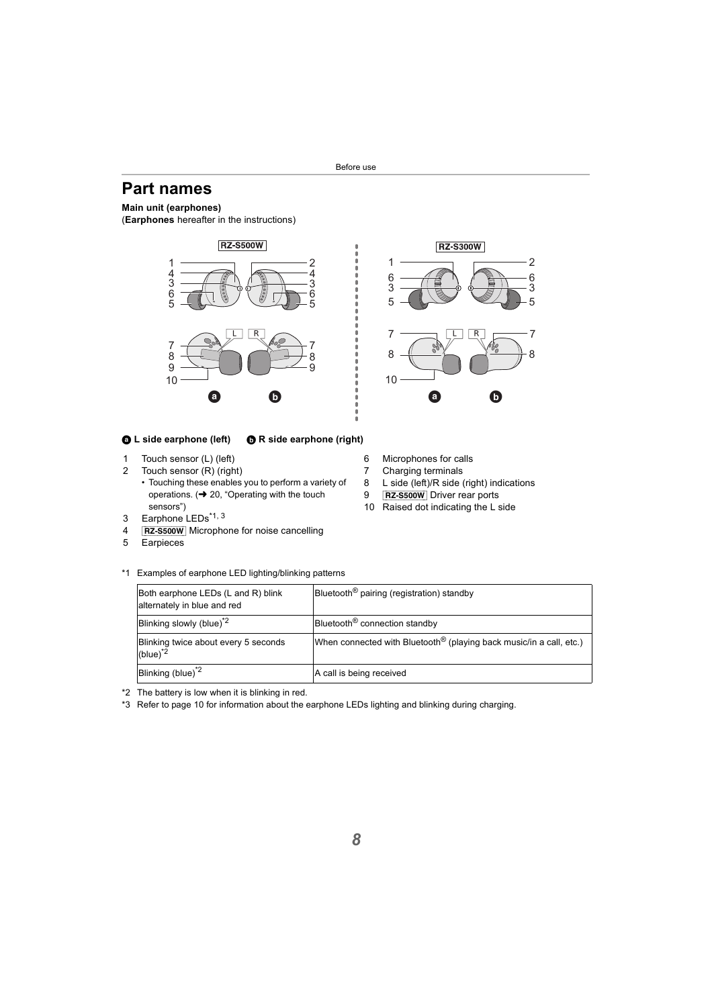# <span id="page-7-0"></span>**Part names**

#### **Main unit (earphones)**

(**Earphones** hereafter in the instructions)





- 1 Touch sensor (L) (left)
- 2 Touch sensor (R) (right)
	- Touching these enables you to perform a variety of operations.  $\leftrightarrow$  20, "Operating with the touch [sensors"\)](#page-19-0)
- 3 Earphone LEDs\*1, 3
- 4 [RZ-S500W] Microphone for noise cancelling
- 5 Earpieces
- \*1 Examples of earphone LED lighting/blinking patterns

| Both earphone LEDs (L and R) blink<br>alternately in blue and red | Bluetooth <sup>®</sup> pairing (registration) standby                           |
|-------------------------------------------------------------------|---------------------------------------------------------------------------------|
| Blinking slowly (blue) <sup>"2</sup>                              | Bluetooth <sup>®</sup> connection standby                                       |
| Blinking twice about every 5 seconds<br>$(blue)^*$ <sup>2</sup>   | When connected with Bluetooth <sup>®</sup> (playing back music/in a call, etc.) |
| Blinking (blue) <sup>2</sup>                                      | A call is being received                                                        |

\*2 The battery is low when it is blinking in red.

\*3 Refer to page [10](#page-9-1) for information about the earphone LEDs lighting and blinking during charging.

- **RZ-S300W** 1 2 6 6 3 3 5 5  $7 \longrightarrow \boxed{L \boxed{R} \longrightarrow 7}$ 8 8 10
- 6 Microphones for calls
- 7 Charging terminals
- 8 L side (left)/R side (right) indications
- 9 **RZ-S500W** Driver rear ports
- 10 Raised dot indicating the L side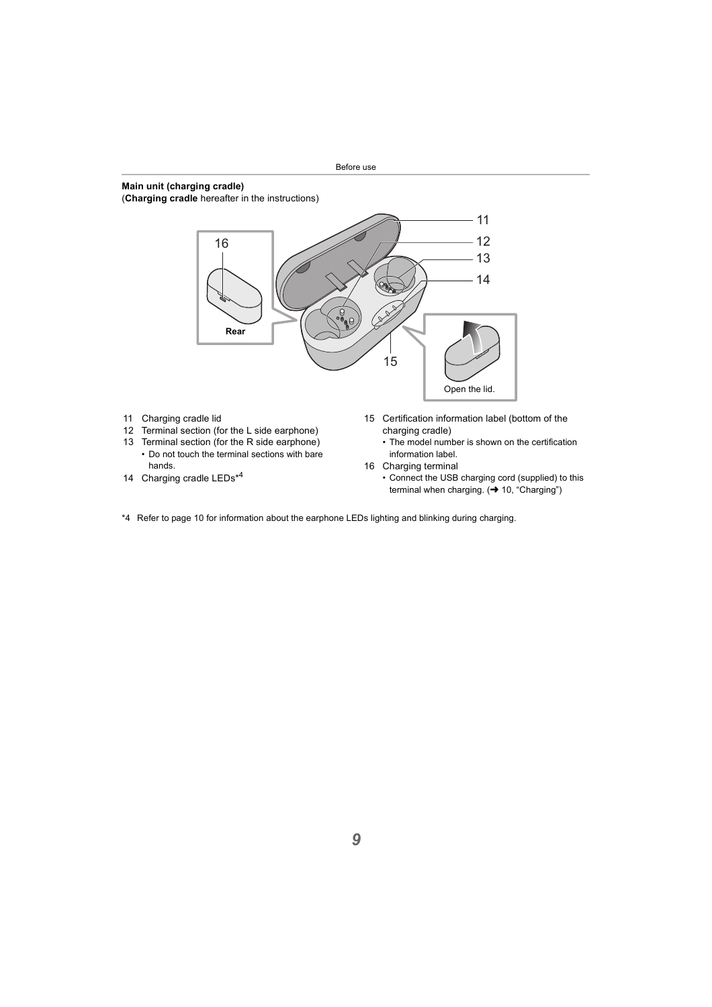#### **Main unit (charging cradle)**

(**Charging cradle** hereafter in the instructions)



- 11 Charging cradle lid
- 12 Terminal section (for the L side earphone)
- 13 Terminal section (for the R side earphone)
	- Do not touch the terminal sections with bare hands.
- 14 Charging cradle LEDs\*4
- 15 Certification information label (bottom of the charging cradle)
	- The model number is shown on the certification information label.
- 16 Charging terminal
	- Connect the USB charging cord (supplied) to this terminal when charging.  $\leftrightarrow$  [10, "Charging"\)](#page-9-1)
- \*4 Refer to page [10](#page-9-1) for information about the earphone LEDs lighting and blinking during charging.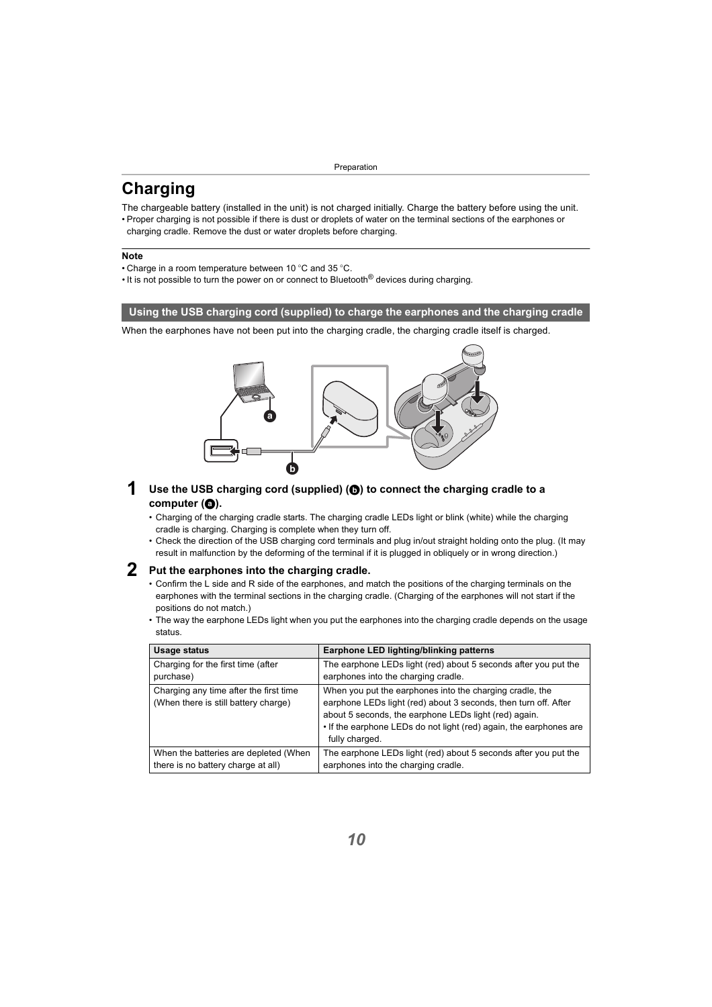# <span id="page-9-1"></span><span id="page-9-0"></span>**Charging**

The chargeable battery (installed in the unit) is not charged initially. Charge the battery before using the unit.

• Proper charging is not possible if there is dust or droplets of water on the terminal sections of the earphones or charging cradle. Remove the dust or water droplets before charging.

#### **Note**

- Charge in a room temperature between 10  $^{\circ}$ C and 35  $^{\circ}$ C.
- It is not possible to turn the power on or connect to Bluetooth<sup>®</sup> devices during charging.

#### <span id="page-9-2"></span>**Using the USB charging cord (supplied) to charge the earphones and the charging cradle**

When the earphones have not been put into the charging cradle, the charging cradle itself is charged.



- **1** Use the USB charging cord (supplied) ( $\odot$ ) to connect the charging cradle to a computer (**a**).
	- Charging of the charging cradle starts. The charging cradle LEDs light or blink (white) while the charging cradle is charging. Charging is complete when they turn off.
	- Check the direction of the USB charging cord terminals and plug in/out straight holding onto the plug. (It may result in malfunction by the deforming of the terminal if it is plugged in obliquely or in wrong direction.)

#### **2 Put the earphones into the charging cradle.**

- Confirm the L side and R side of the earphones, and match the positions of the charging terminals on the earphones with the terminal sections in the charging cradle. (Charging of the earphones will not start if the positions do not match.)
- The way the earphone LEDs light when you put the earphones into the charging cradle depends on the usage status.

| Usage status                                                                   | Earphone LED lighting/blinking patterns                                                                                                                                                                                                                                      |
|--------------------------------------------------------------------------------|------------------------------------------------------------------------------------------------------------------------------------------------------------------------------------------------------------------------------------------------------------------------------|
| Charging for the first time (after                                             | The earphone LEDs light (red) about 5 seconds after you put the                                                                                                                                                                                                              |
| purchase)                                                                      | earphones into the charging cradle.                                                                                                                                                                                                                                          |
| Charging any time after the first time<br>(When there is still battery charge) | When you put the earphones into the charging cradle, the<br>earphone LEDs light (red) about 3 seconds, then turn off. After<br>about 5 seconds, the earphone LEDs light (red) again.<br>. If the earphone LEDs do not light (red) again, the earphones are<br>fully charged. |
| When the batteries are depleted (When                                          | The earphone LEDs light (red) about 5 seconds after you put the                                                                                                                                                                                                              |
| there is no battery charge at all)                                             | earphones into the charging cradle.                                                                                                                                                                                                                                          |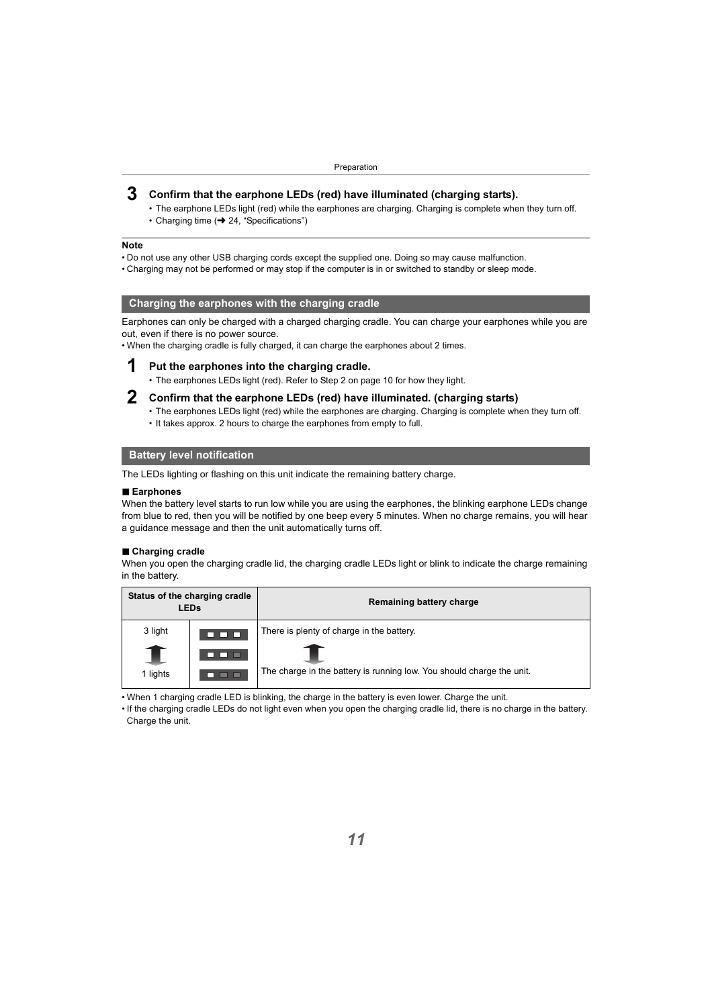#### **3 Confirm that the earphone LEDs (red) have illuminated (charging starts).**

- The earphone LEDs light (red) while the earphones are charging. Charging is complete when they turn off.
- Charging time  $\leftrightarrow$  [24, "Specifications"\)](#page-23-0)

#### **Note**

- Do not use any other USB charging cords except the supplied one. Doing so may cause malfunction.
- Charging may not be performed or may stop if the computer is in or switched to standby or sleep mode.

#### <span id="page-10-0"></span>**Charging the earphones with the charging cradle**

Earphones can only be charged with a charged charging cradle. You can charge your earphones while you are out, even if there is no power source.

• When the charging cradle is fully charged, it can charge the earphones about 2 times.

#### **1 Put the earphones into the charging cradle.**

- The earphones LEDs light (red). Refer to Step 2 on page [10](#page-9-2) for how they light.
- - **2 Confirm that the earphone LEDs (red) have illuminated. (charging starts)**
		- The earphones LEDs light (red) while the earphones are charging. Charging is complete when they turn off.
		- It takes approx. 2 hours to charge the earphones from empty to full.

#### <span id="page-10-1"></span>**Battery level notification**

The LEDs lighting or flashing on this unit indicate the remaining battery charge.

#### ∫ **Earphones**

When the battery level starts to run low while you are using the earphones, the blinking earphone LEDs change from blue to red, then you will be notified by one beep every 5 minutes. When no charge remains, you will hear a guidance message and then the unit automatically turns off.

#### ∫ **Charging cradle**

When you open the charging cradle lid, the charging cradle LEDs light or blink to indicate the charge remaining in the battery.

| Status of the charging cradle<br><b>LEDs</b> |      | Remaining battery charge                                              |  |
|----------------------------------------------|------|-----------------------------------------------------------------------|--|
| 3 light                                      | ---  | There is plenty of charge in the battery.                             |  |
|                                              | 88 8 |                                                                       |  |
| 1 lights                                     | ▅▅   | The charge in the battery is running low. You should charge the unit. |  |

- When 1 charging cradle LED is blinking, the charge in the battery is even lower. Charge the unit.
- If the charging cradle LEDs do not light even when you open the charging cradle lid, there is no charge in the battery. Charge the unit.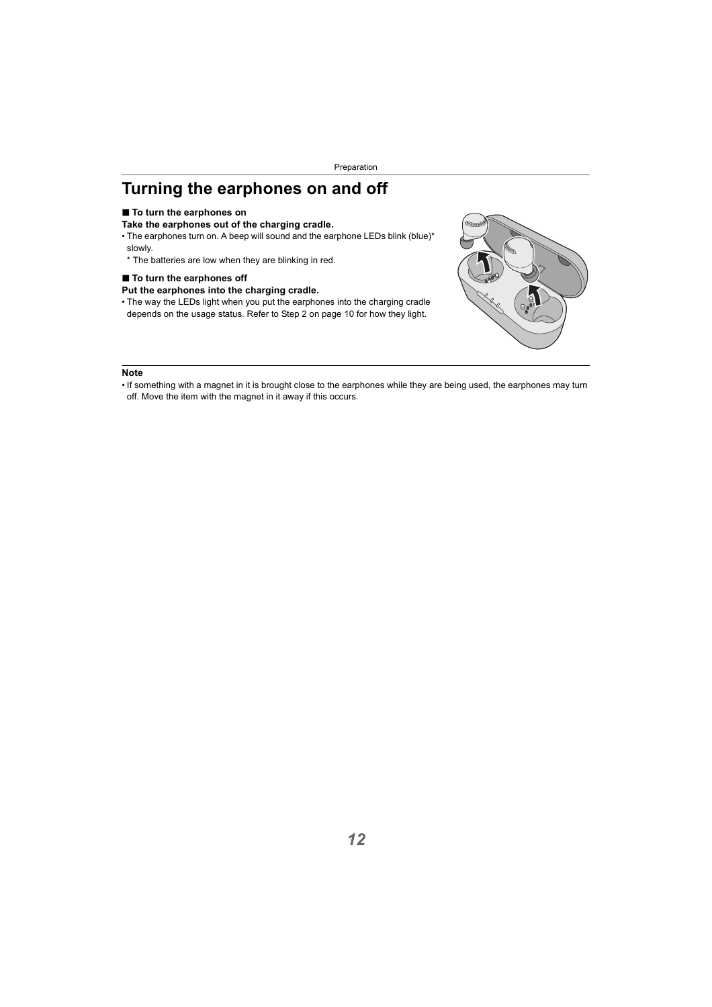# <span id="page-11-0"></span>**Turning the earphones on and off**

#### ■ **To turn the earphones on**

#### **Take the earphones out of the charging cradle.**

- The earphones turn on. A beep will sound and the earphone LEDs blink (blue)\* slowly.
- \* The batteries are low when they are blinking in red.

#### ■ To turn the earphones off

#### **Put the earphones into the charging cradle.**

• The way the LEDs light when you put the earphones into the charging cradle depends on the usage status. Refer to Step 2 on page [10](#page-9-2) for how they light.



<sup>•</sup> If something with a magnet in it is brought close to the earphones while they are being used, the earphones may turn off. Move the item with the magnet in it away if this occurs.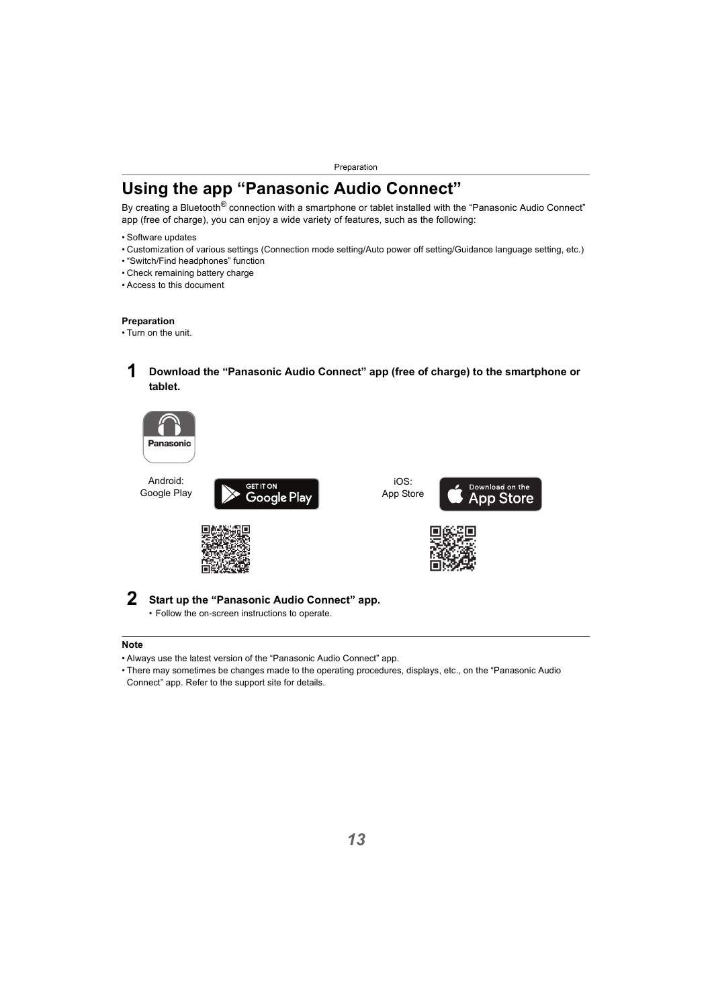# <span id="page-12-0"></span>**Using the app "Panasonic Audio Connect"**

By creating a Bluetooth<sup>®</sup> connection with a smartphone or tablet installed with the "Panasonic Audio Connect" app (free of charge), you can enjoy a wide variety of features, such as the following:

- Software updates
- Customization of various settings (Connection mode setting/Auto power off setting/Guidance language setting, etc.)
- "Switch/Find headphones" function
- Check remaining battery charge
- Access to this document

#### **Preparation**

- Turn on the unit.
	- **1 Download the "Panasonic Audio Connect" app (free of charge) to the smartphone or tablet.**



Android: Google Play



iOS: App Store







#### **2 Start up the "Panasonic Audio Connect" app.**

• Follow the on-screen instructions to operate.

- Always use the latest version of the "Panasonic Audio Connect" app.
- There may sometimes be changes made to the operating procedures, displays, etc., on the "Panasonic Audio Connect" app. Refer to the support site for details.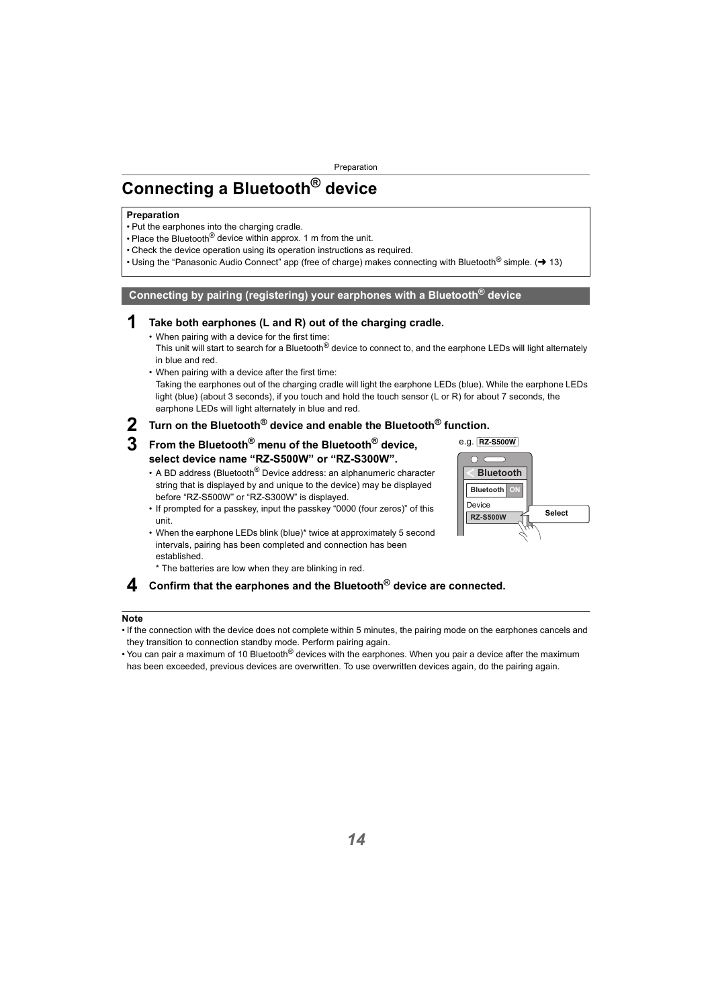# <span id="page-13-0"></span>**Connecting a Bluetooth® device**

#### **Preparation**

- Put the earphones into the charging cradle.
- Place the Bluetooth<sup>®</sup> device within approx. 1 m from the unit.
- Check the device operation using its operation instructions as required.
- Using the "Panasonic Audio Connect" app (free of charge) makes connecting with Bluetooth<sup>®</sup> simple. ( $\rightarrow$  [13\)](#page-12-0)

#### <span id="page-13-1"></span>**Connecting by pairing (registering) your earphones with a Bluetooth® device**

#### **1 Take both earphones (L and R) out of the charging cradle.**

• When pairing with a device for the first time: This unit will start to search for a Bluetooth<sup>®</sup> device to connect to, and the earphone LEDs will light alternately in blue and red.

• When pairing with a device after the first time: Taking the earphones out of the charging cradle will light the earphone LEDs (blue). While the earphone LEDs light (blue) (about 3 seconds), if you touch and hold the touch sensor (L or R) for about 7 seconds, the earphone LEDs will light alternately in blue and red.

# **2 Turn on the Bluetooth® device and enable the Bluetooth® function.**

#### **3 From the Bluetooth® menu of the Bluetooth® device, select device name "RZ-S500W" or "RZ-S300W".**

- A BD address (Bluetooth<sup>®</sup> Device address: an alphanumeric character string that is displayed by and unique to the device) may be displayed before "RZ-S500W" or "RZ-S300W" is displayed.
- If prompted for a passkey, input the passkey "0000 (four zeros)" of this unit.
- When the earphone LEDs blink (blue)\* twice at approximately 5 second intervals, pairing has been completed and connection has been established.
	- \* The batteries are low when they are blinking in red.

#### **4 Confirm that the earphones and the Bluetooth® device are connected.**

- If the connection with the device does not complete within 5 minutes, the pairing mode on the earphones cancels and they transition to connection standby mode. Perform pairing again.
- You can pair a maximum of 10 Bluetooth<sup>®</sup> devices with the earphones. When you pair a device after the maximum has been exceeded, previous devices are overwritten. To use overwritten devices again, do the pairing again.

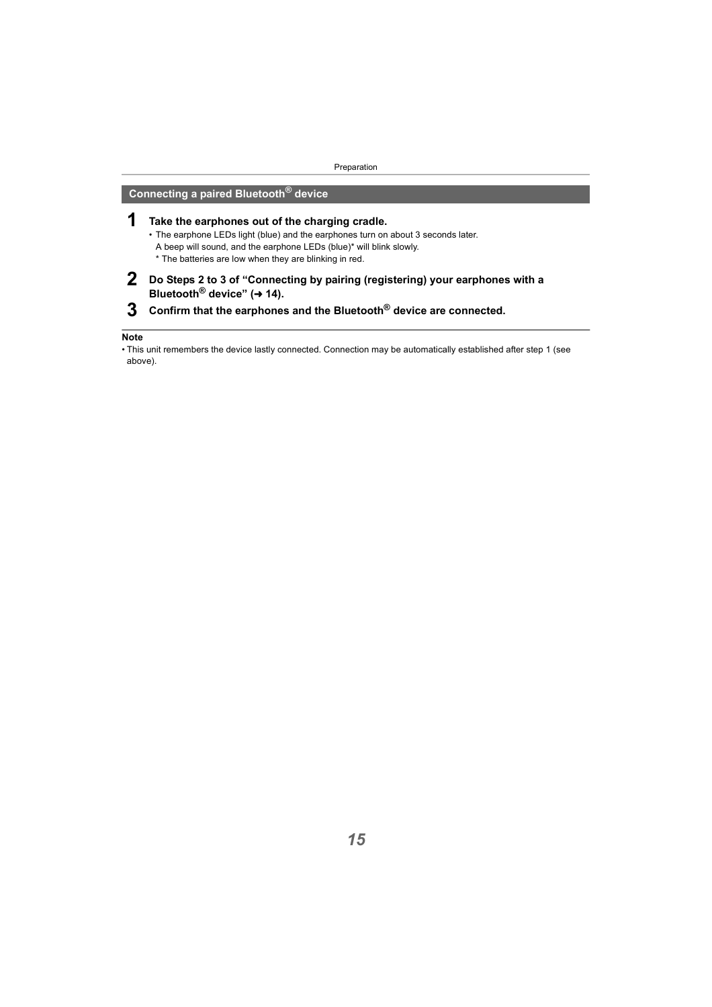### <span id="page-14-0"></span>**Connecting a paired Bluetooth® device**

- **1 Take the earphones out of the charging cradle.**
	- The earphone LEDs light (blue) and the earphones turn on about 3 seconds later. A beep will sound, and the earphone LEDs (blue)\* will blink slowly. \* The batteries are low when they are blinking in red.
- **2 Do Steps 2 to 3 of ["Connecting by pairing \(registering\) your earphones with a](#page-13-1)  Bluetooth<sup>®</sup> device" (→ [14\).](#page-13-1)**
- **3 Confirm that the earphones and the Bluetooth® device are connected.**

<sup>•</sup> This unit remembers the device lastly connected. Connection may be automatically established after step 1 (see above).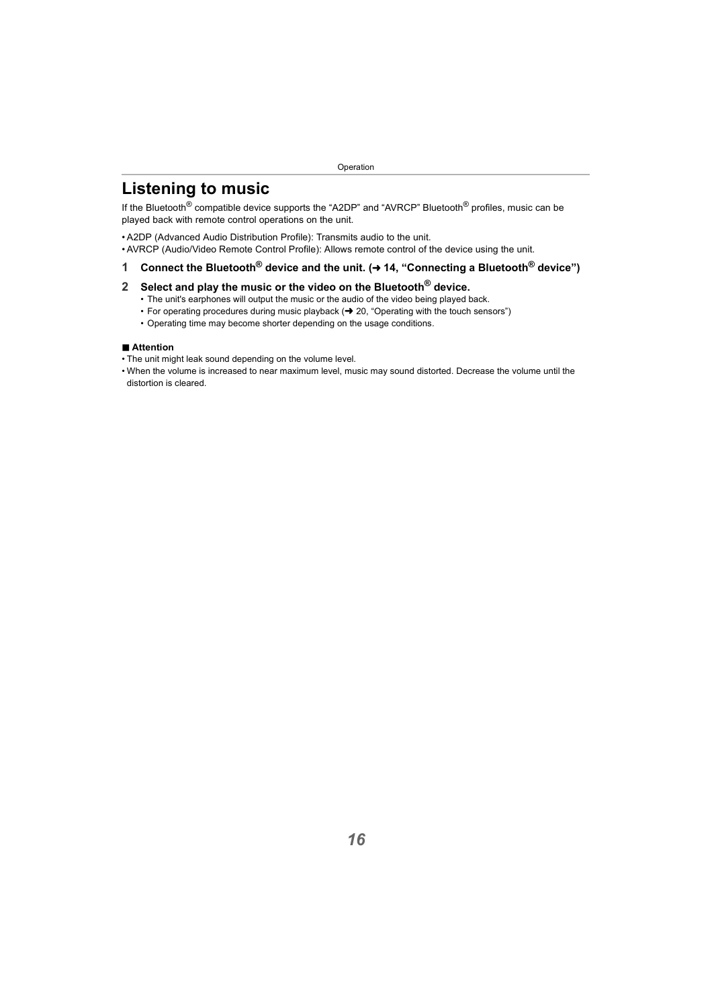# <span id="page-15-1"></span><span id="page-15-0"></span>**Listening to music**

If the Bluetooth<sup>®</sup> compatible device supports the "A2DP" and "AVRCP" Bluetooth<sup>®</sup> profiles, music can be played back with remote control operations on the unit.

- A2DP (Advanced Audio Distribution Profile): Transmits audio to the unit.
- AVRCP (Audio/Video Remote Control Profile): Allows remote control of the device using the unit.

#### **1 Connect the Bluetooth® device and the unit. (**<sup>l</sup> **[14, "Connecting a Bluetooth® device"\)](#page-13-0)**

#### **2 Select and play the music or the video on the Bluetooth® device.**

- The unit's earphones will output the music or the audio of the video being played back.
- For operating procedures during music playback  $\leftrightarrow$  [20, "Operating with the touch sensors"\)](#page-19-0)
- Operating time may become shorter depending on the usage conditions.

#### ∫ **Attention**

- The unit might leak sound depending on the volume level.
- When the volume is increased to near maximum level, music may sound distorted. Decrease the volume until the distortion is cleared.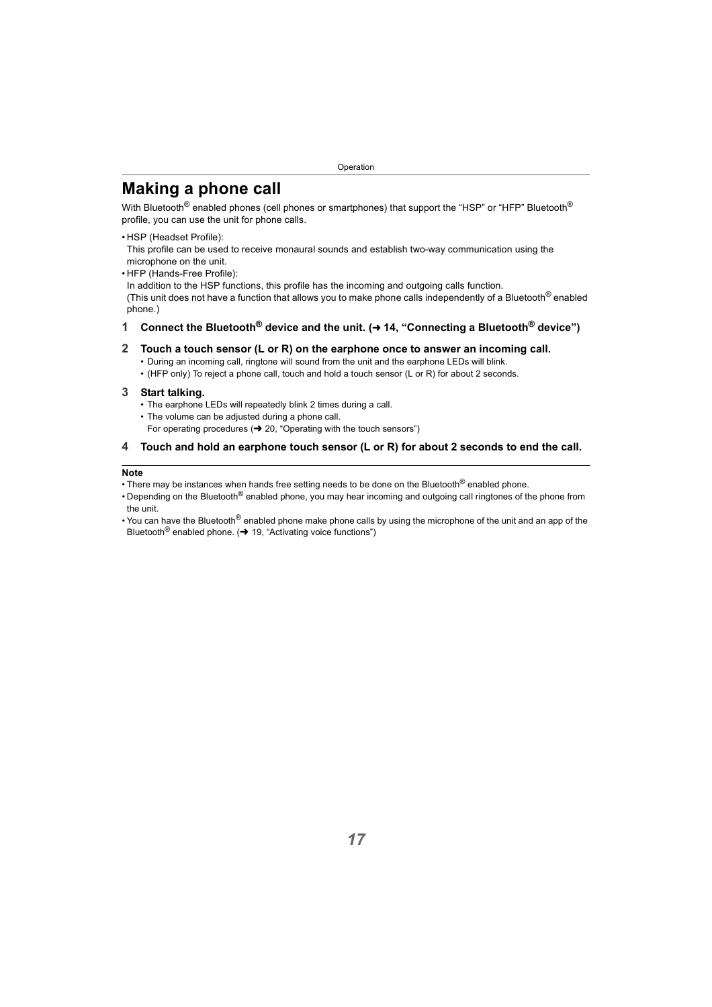# <span id="page-16-0"></span>**Making a phone call**

With Bluetooth<sup>®</sup> enabled phones (cell phones or smartphones) that support the "HSP" or "HFP" Bluetooth<sup>®</sup> profile, you can use the unit for phone calls.

• HSP (Headset Profile):

This profile can be used to receive monaural sounds and establish two-way communication using the microphone on the unit.

• HFP (Hands-Free Profile):

In addition to the HSP functions, this profile has the incoming and outgoing calls function. (This unit does not have a function that allows you to make phone calls independently of a Bluetooth<sup>®</sup> enabled phone.)

#### **1** Connect the Bluetooth<sup>®</sup> device and the unit. (→ 14, "Connecting a Bluetooth<sup>®</sup> device")

#### **2 Touch a touch sensor (L or R) on the earphone once to answer an incoming call.**

- During an incoming call, ringtone will sound from the unit and the earphone LEDs will blink.
- (HFP only) To reject a phone call, touch and hold a touch sensor (L or R) for about 2 seconds.

#### **3 Start talking.**

- The earphone LEDs will repeatedly blink 2 times during a call.
- The volume can be adjusted during a phone call. For operating procedures  $\rightarrow$  [20, "Operating with the touch sensors"\)](#page-19-0)

#### **4 Touch and hold an earphone touch sensor (L or R) for about 2 seconds to end the call.**

- There may be instances when hands free setting needs to be done on the Bluetooth<sup>®</sup> enabled phone.
- Depending on the Bluetooth<sup>®</sup> enabled phone, you may hear incoming and outgoing call ringtones of the phone from the unit.
- You can have the Bluetooth<sup>®</sup> enabled phone make phone calls by using the microphone of the unit and an app of the Bluetooth<sup>®</sup> enabled phone.  $\rightarrow$  [19, "Activating voice functions"\)](#page-18-2)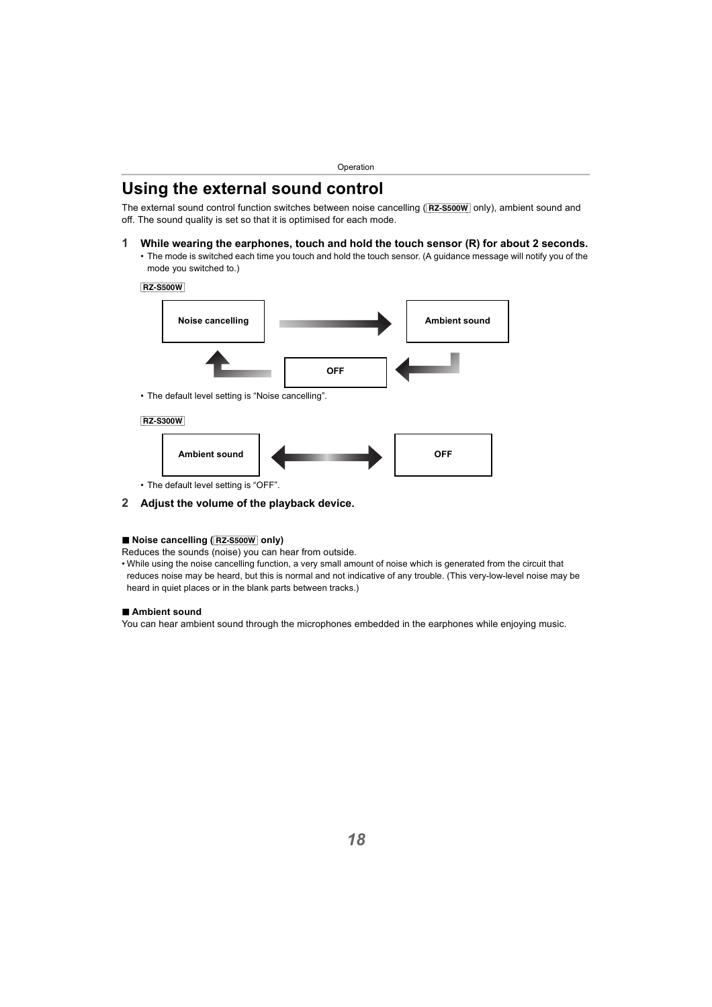# <span id="page-17-0"></span>**Using the external sound control**

The external sound control function switches between noise cancelling ([RZ-S500W] only), ambient sound and off. The sound quality is set so that it is optimised for each mode.

#### **1 While wearing the earphones, touch and hold the touch sensor (R) for about 2 seconds.**

• The mode is switched each time you touch and hold the touch sensor. (A guidance message will notify you of the mode you switched to.)



#### **2 Adjust the volume of the playback device.**

#### ∫ **Noise cancelling (**[RZ-S500W] **only)**

Reduces the sounds (noise) you can hear from outside.

• While using the noise cancelling function, a very small amount of noise which is generated from the circuit that reduces noise may be heard, but this is normal and not indicative of any trouble. (This very-low-level noise may be heard in quiet places or in the blank parts between tracks.)

#### ∫ **Ambient sound**

You can hear ambient sound through the microphones embedded in the earphones while enjoying music.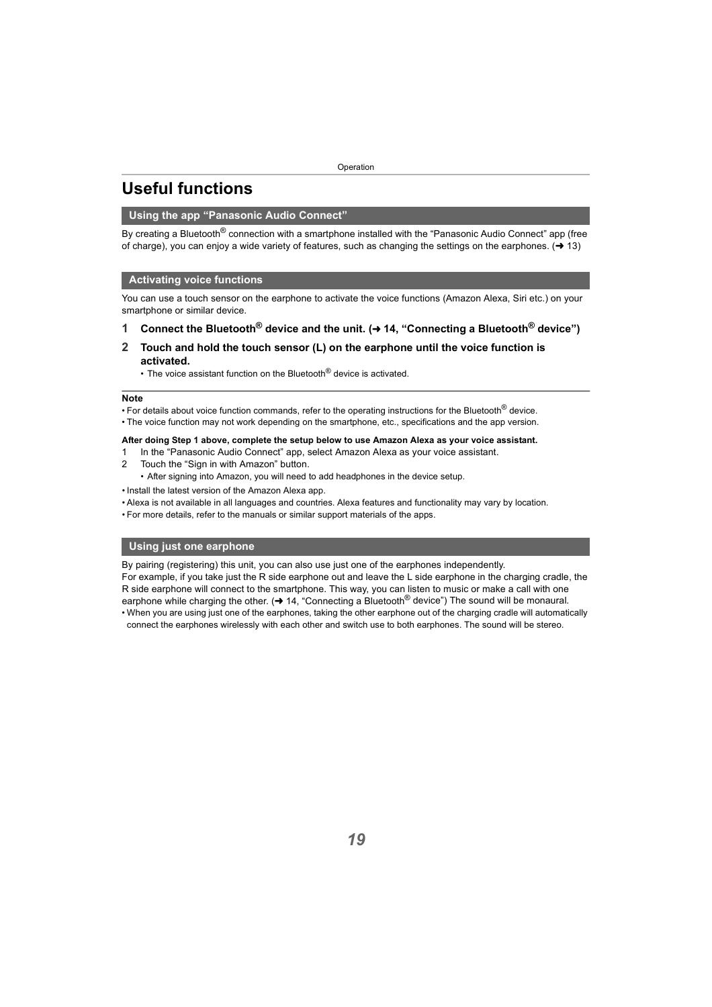# <span id="page-18-0"></span>**Useful functions**

#### <span id="page-18-1"></span>**Using the app "Panasonic Audio Connect"**

By creating a Bluetooth<sup>®</sup> connection with a smartphone installed with the "Panasonic Audio Connect" app (free of charge), you can enjoy a wide variety of features, such as changing the settings on the earphones.  $(\rightarrow 13)$  $(\rightarrow 13)$ 

#### <span id="page-18-2"></span>**Activating voice functions**

You can use a touch sensor on the earphone to activate the voice functions (Amazon Alexa, Siri etc.) on your smartphone or similar device.

- **1 Connect the Bluetooth® device and the unit. (**<sup>l</sup> **[14, "Connecting a Bluetooth® device"\)](#page-13-0)**
- **2 Touch and hold the touch sensor (L) on the earphone until the voice function is activated.**
	- The voice assistant function on the Bluetooth<sup>®</sup> device is activated.

#### **Note**

• For details about voice function commands, refer to the operating instructions for the Bluetooth<sup>®</sup> device.

• The voice function may not work depending on the smartphone, etc., specifications and the app version.

#### **After doing Step 1 above, complete the setup below to use Amazon Alexa as your voice assistant.**

- 1 In the "Panasonic Audio Connect" app, select Amazon Alexa as your voice assistant.
- 2 Touch the "Sign in with Amazon" button.
	- After signing into Amazon, you will need to add headphones in the device setup.
- Install the latest version of the Amazon Alexa app.
- Alexa is not available in all languages and countries. Alexa features and functionality may vary by location.
- For more details, refer to the manuals or similar support materials of the apps.

#### <span id="page-18-3"></span>**Using just one earphone**

By pairing (registering) this unit, you can also use just one of the earphones independently.

For example, if you take just the R side earphone out and leave the L side earphone in the charging cradle, the R side earphone will connect to the smartphone. This way, you can listen to music or make a call with one earphone while charging the other. ( $\rightarrow$  [14, "Connecting a Bluetooth](#page-13-0)<sup>®</sup> device") The sound will be monaural. • When you are using just one of the earphones, taking the other earphone out of the charging cradle will automatically

connect the earphones wirelessly with each other and switch use to both earphones. The sound will be stereo.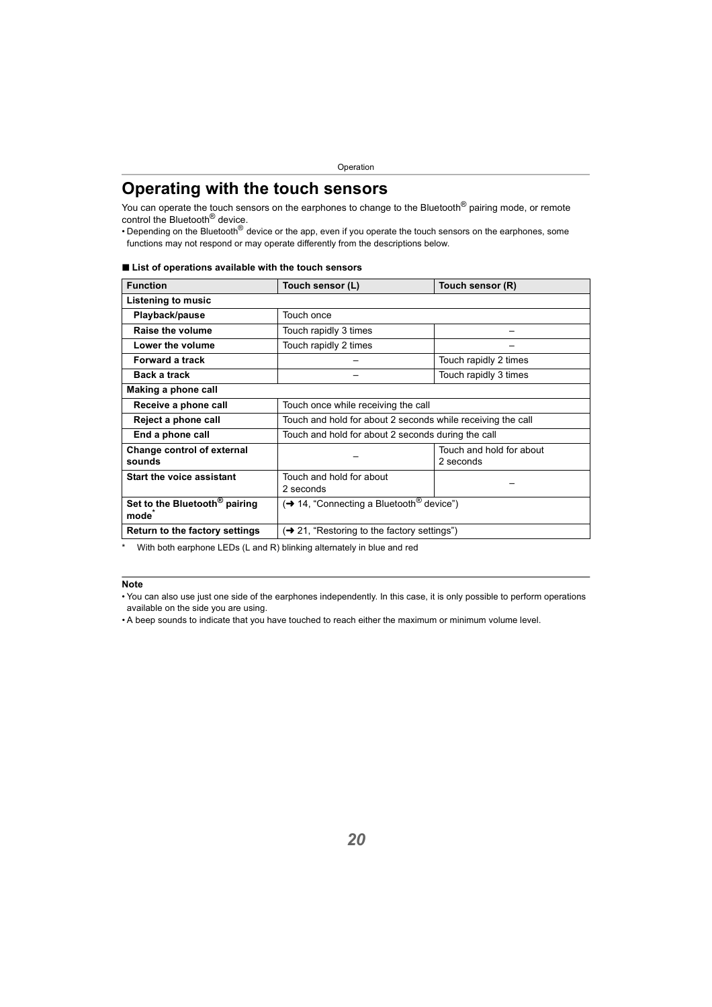# <span id="page-19-0"></span>**Operating with the touch sensors**

You can operate the touch sensors on the earphones to change to the Bluetooth<sup>®</sup> pairing mode, or remote control the Bluetooth® device.

• Depending on the Bluetooth<sup>®</sup> device or the app, even if you operate the touch sensors on the earphones, some functions may not respond or may operate differently from the descriptions below.

| <b>Function</b>                                                | Touch sensor (L)                                            | Touch sensor (R)                                   |  |
|----------------------------------------------------------------|-------------------------------------------------------------|----------------------------------------------------|--|
| Listening to music                                             |                                                             |                                                    |  |
| Playback/pause                                                 | Touch once                                                  |                                                    |  |
| Raise the volume                                               | Touch rapidly 3 times                                       |                                                    |  |
| Lower the volume                                               | Touch rapidly 2 times                                       |                                                    |  |
| <b>Forward a track</b>                                         |                                                             | Touch rapidly 2 times                              |  |
| <b>Back a track</b>                                            |                                                             | Touch rapidly 3 times                              |  |
| Making a phone call                                            |                                                             |                                                    |  |
| Receive a phone call                                           | Touch once while receiving the call                         |                                                    |  |
| Reject a phone call                                            | Touch and hold for about 2 seconds while receiving the call |                                                    |  |
| End a phone call                                               |                                                             | Touch and hold for about 2 seconds during the call |  |
| Change control of external<br>sounds                           |                                                             | Touch and hold for about<br>2 seconds              |  |
| <b>Start the voice assistant</b>                               | Touch and hold for about<br>2 seconds                       |                                                    |  |
| Set to the Bluetooth <sup>®</sup> pairing<br>mode <sup>*</sup> | (→ 14, "Connecting a Bluetooth <sup>®</sup> device")        |                                                    |  |
| Return to the factory settings                                 | $\rightarrow$ 21, "Restoring to the factory settings")      |                                                    |  |

#### ■ List of operations available with the touch sensors

With both earphone LEDs (L and R) blinking alternately in blue and red

#### **Note**

• You can also use just one side of the earphones independently. In this case, it is only possible to perform operations available on the side you are using.

• A beep sounds to indicate that you have touched to reach either the maximum or minimum volume level.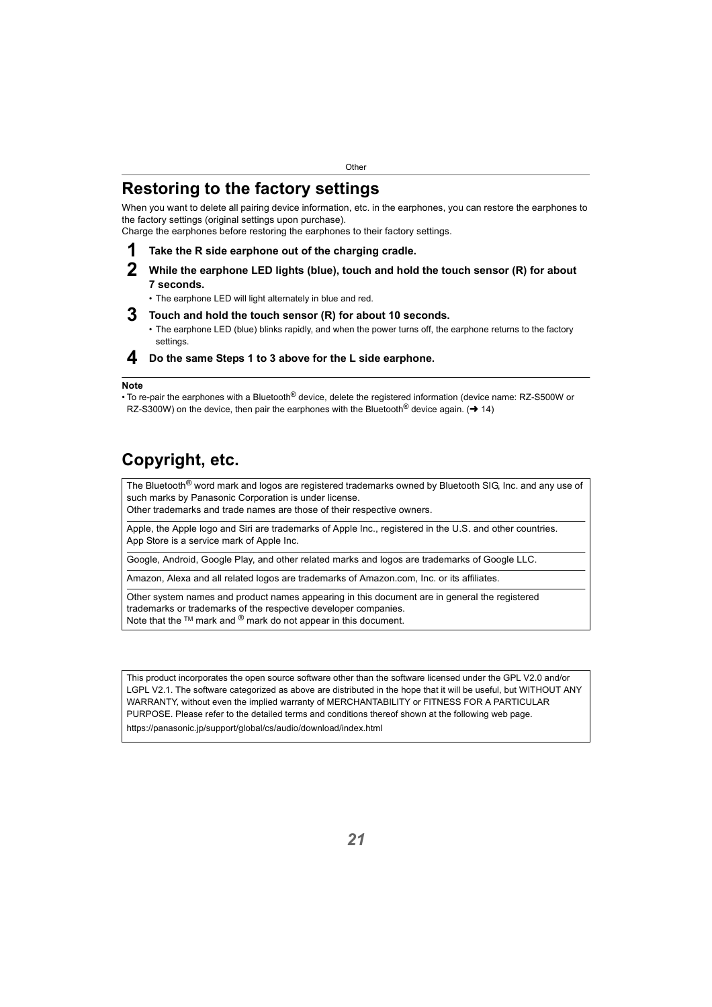# <span id="page-20-1"></span><span id="page-20-0"></span>**Restoring to the factory settings**

When you want to delete all pairing device information, etc. in the earphones, you can restore the earphones to the factory settings (original settings upon purchase).

Charge the earphones before restoring the earphones to their factory settings.

- **1 Take the R side earphone out of the charging cradle.**
- **2 While the earphone LED lights (blue), touch and hold the touch sensor (R) for about 7 seconds.**
	- The earphone LED will light alternately in blue and red.
- **3 Touch and hold the touch sensor (R) for about 10 seconds.**
	- The earphone LED (blue) blinks rapidly, and when the power turns off, the earphone returns to the factory settings.

#### **4 Do the same Steps 1 to 3 above for the L side earphone.**

#### **Note**

• To re-pair the earphones with a Bluetooth<sup>®</sup> device, delete the registered information (device name: RZ-S500W or RZ-S300W) on the device, then pair the earphones with the Bluetooth<sup>®</sup> device again. ( $\rightarrow$  [14\)](#page-13-1)

# <span id="page-20-2"></span>**Copyright, etc.**

The Bluetooth<sup>®</sup> word mark and logos are registered trademarks owned by Bluetooth SIG, Inc. and any use of such marks by Panasonic Corporation is under license.

Other trademarks and trade names are those of their respective owners.

Apple, the Apple logo and Siri are trademarks of Apple Inc., registered in the U.S. and other countries. App Store is a service mark of Apple Inc.

Google, Android, Google Play, and other related marks and logos are trademarks of Google LLC.

Amazon, Alexa and all related logos are trademarks of Amazon.com, Inc. or its affiliates.

Other system names and product names appearing in this document are in general the registered trademarks or trademarks of the respective developer companies. Note that the  $TM$  mark and  $\mathcal{R}$  mark do not appear in this document.

This product incorporates the open source software other than the software licensed under the GPL V2.0 and/or LGPL V2.1. The software categorized as above are distributed in the hope that it will be useful, but WITHOUT ANY WARRANTY, without even the implied warranty of MERCHANTABILITY or FITNESS FOR A PARTICULAR PURPOSE. Please refer to the detailed terms and conditions thereof shown at the following web page. https://panasonic.jp/support/global/cs/audio/download/index.html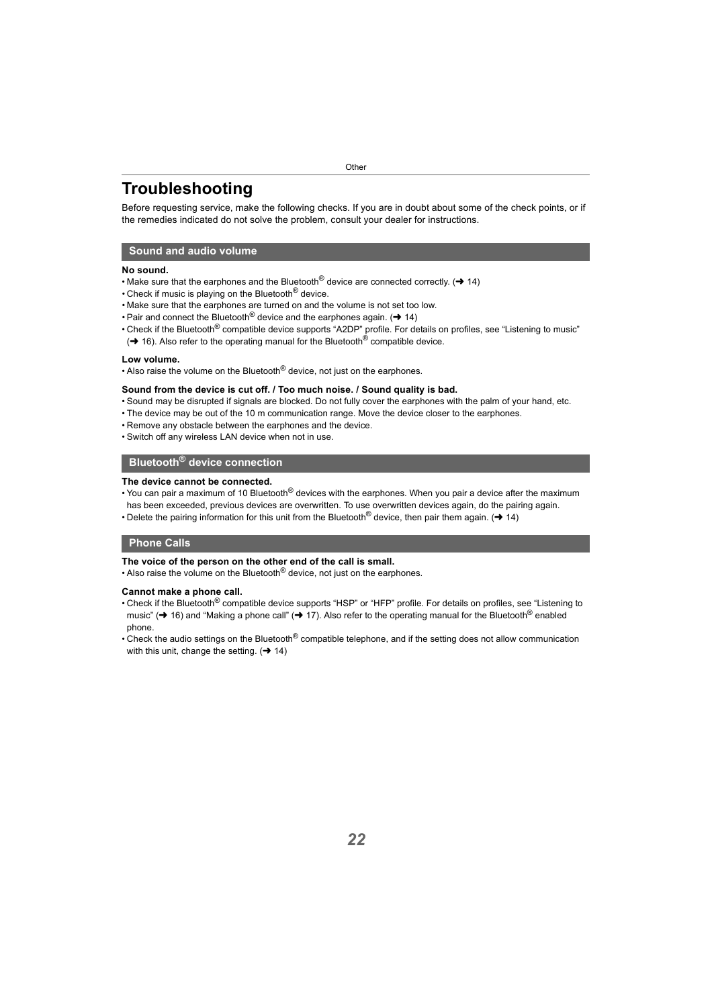# <span id="page-21-0"></span>**Troubleshooting**

Before requesting service, make the following checks. If you are in doubt about some of the check points, or if the remedies indicated do not solve the problem, consult your dealer for instructions.

#### <span id="page-21-1"></span>**Sound and audio volume**

#### **No sound.**

- Make sure that the earphones and the Bluetooth<sup>®</sup> device are connected correctly. ( $\rightarrow$  [14\)](#page-13-0)
- Check if music is playing on the Bluetooth<sup>®</sup> device.
- Make sure that the earphones are turned on and the volume is not set too low.
- Pair and connect the Bluetooth<sup>®</sup> device and the earphones again. ( $\rightarrow$  [14\)](#page-13-0)
- Check if the Bluetooth<sup>®</sup> compatible device supports "A2DP" profile. For details on profiles, see "Listening to music"
- $\leftrightarrow$  [16\)](#page-15-1). Also refer to the operating manual for the Bluetooth<sup>®</sup> compatible device.

#### **Low volume.**

• Also raise the volume on the Bluetooth<sup>®</sup> device, not just on the earphones.

#### **Sound from the device is cut off. / Too much noise. / Sound quality is bad.**

- Sound may be disrupted if signals are blocked. Do not fully cover the earphones with the palm of your hand, etc.
- The device may be out of the 10 m communication range. Move the device closer to the earphones.
- Remove any obstacle between the earphones and the device.
- Switch off any wireless LAN device when not in use.

#### <span id="page-21-2"></span>**Bluetooth® device connection**

#### **The device cannot be connected.**

- You can pair a maximum of 10 Bluetooth<sup>®</sup> devices with the earphones. When you pair a device after the maximum has been exceeded, previous devices are overwritten. To use overwritten devices again, do the pairing again.
- Delete the pairing information for this unit from the Bluetooth<sup>®</sup> device, then pair them again. ( $\rightarrow$  [14\)](#page-13-0)

#### <span id="page-21-3"></span>**Phone Calls**

#### **The voice of the person on the other end of the call is small.**

• Also raise the volume on the Bluetooth $^{\circledR}$  device, not just on the earphones.

#### **Cannot make a phone call.**

- Check if the Bluetooth<sup>®</sup> compatible device supports "HSP" or "HFP" profile. For details on profiles, see "Listening to [music"](#page-15-1) ( $\rightarrow$  [16\)](#page-15-1) and ["Making a phone call"](#page-16-0) ( $\rightarrow$  [17\).](#page-16-0) Also refer to the operating manual for the Bluetooth<sup>®</sup> enabled phone.
- Check the audio settings on the Bluetooth<sup>®</sup> compatible telephone, and if the setting does not allow communication with this unit, change the setting.  $(\rightarrow 14)$  $(\rightarrow 14)$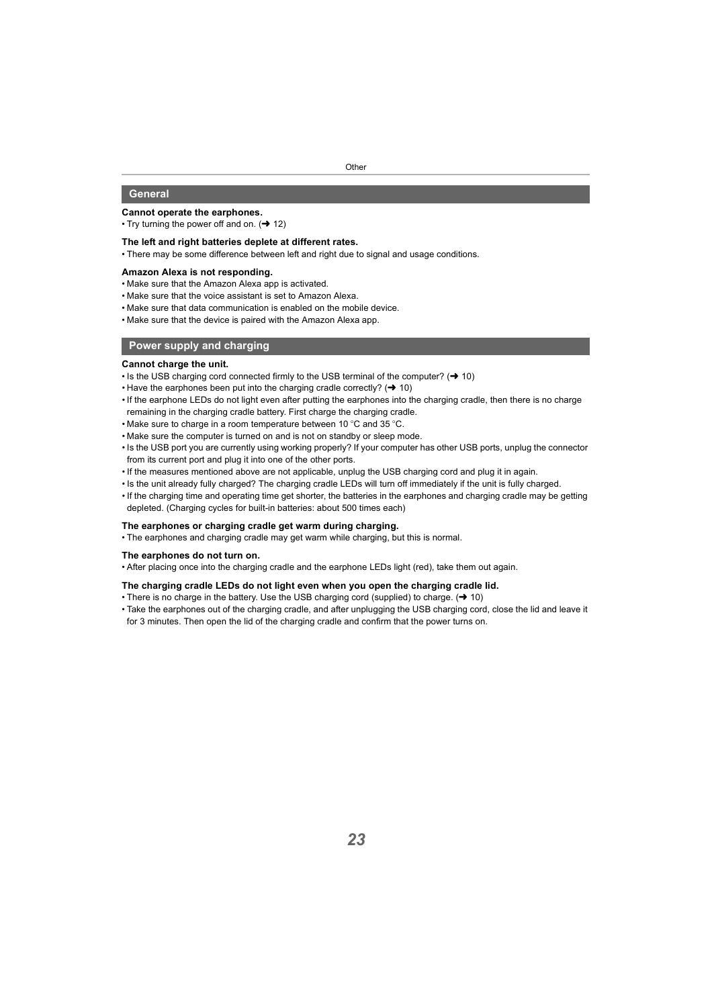#### <span id="page-22-0"></span>**General**

#### **Cannot operate the earphones.**

• Try turning the power off and on.  $(\rightarrow 12)$  $(\rightarrow 12)$ 

#### **The left and right batteries deplete at different rates.**

• There may be some difference between left and right due to signal and usage conditions.

#### **Amazon Alexa is not responding.**

- Make sure that the Amazon Alexa app is activated.
- Make sure that the voice assistant is set to Amazon Alexa.
- Make sure that data communication is enabled on the mobile device.
- Make sure that the device is paired with the Amazon Alexa app.

#### <span id="page-22-1"></span>**Power supply and charging**

#### **Cannot charge the unit.**

- Is the USB charging cord connected firmly to the USB terminal of the computer?  $(\rightarrow 10)$  $(\rightarrow 10)$
- Have the earphones been put into the charging cradle correctly?  $(\rightarrow 10)$  $(\rightarrow 10)$
- If the earphone LEDs do not light even after putting the earphones into the charging cradle, then there is no charge remaining in the charging cradle battery. First charge the charging cradle.
- Make sure to charge in a room temperature between 10  $^{\circ}$ C and 35  $^{\circ}$ C.
- Make sure the computer is turned on and is not on standby or sleep mode.
- Is the USB port you are currently using working properly? If your computer has other USB ports, unplug the connector from its current port and plug it into one of the other ports.
- If the measures mentioned above are not applicable, unplug the USB charging cord and plug it in again.
- Is the unit already fully charged? The charging cradle LEDs will turn off immediately if the unit is fully charged.
- If the charging time and operating time get shorter, the batteries in the earphones and charging cradle may be getting depleted. (Charging cycles for built-in batteries: about 500 times each)

#### **The earphones or charging cradle get warm during charging.**

• The earphones and charging cradle may get warm while charging, but this is normal.

#### **The earphones do not turn on.**

• After placing once into the charging cradle and the earphone LEDs light (red), take them out again.

#### **The charging cradle LEDs do not light even when you open the charging cradle lid.**

- There is no charge in the battery. Use the USB charging cord (supplied) to charge.  $(\rightarrow 10)$  $(\rightarrow 10)$
- Take the earphones out of the charging cradle, and after unplugging the USB charging cord, close the lid and leave it for 3 minutes. Then open the lid of the charging cradle and confirm that the power turns on.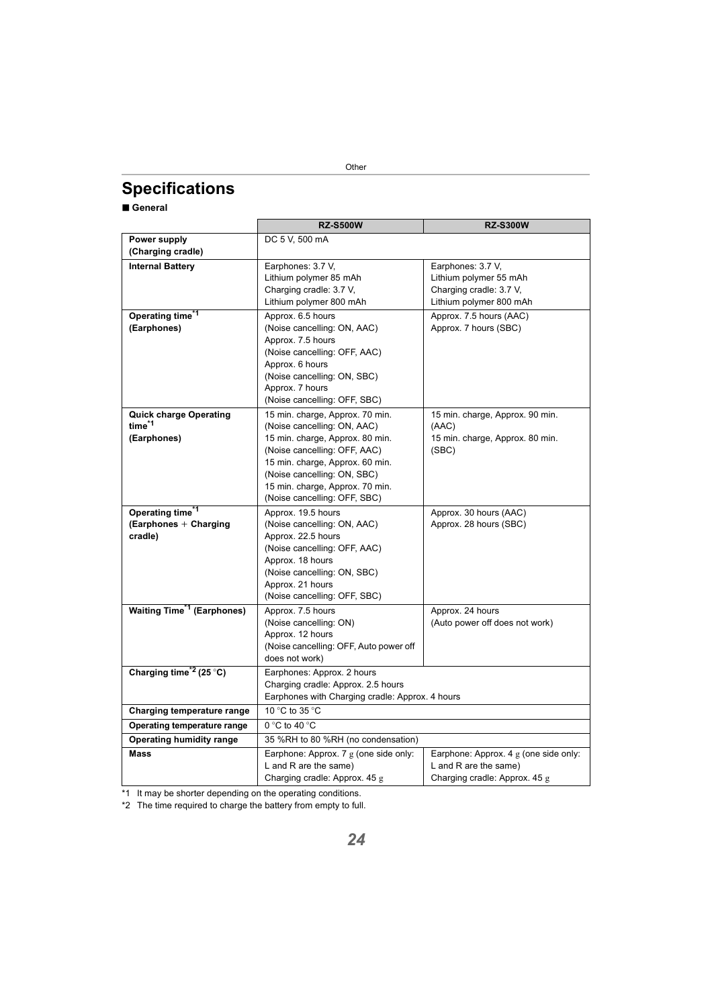# <span id="page-23-0"></span>**Specifications**

#### ∫ **General**

|                                                  | <b>RZ-S500W</b>                                                                       | <b>RZ-S300W</b>                       |
|--------------------------------------------------|---------------------------------------------------------------------------------------|---------------------------------------|
| Power supply                                     | DC 5 V, 500 mA                                                                        |                                       |
| (Charging cradle)                                |                                                                                       |                                       |
| <b>Internal Battery</b>                          | Earphones: 3.7 V,                                                                     | Earphones: 3.7 V,                     |
|                                                  | Lithium polymer 85 mAh                                                                | Lithium polymer 55 mAh                |
|                                                  | Charging cradle: 3.7 V,                                                               | Charging cradle: 3.7 V,               |
|                                                  | Lithium polymer 800 mAh                                                               | Lithium polymer 800 mAh               |
| Operating time <sup>*1</sup>                     | Approx. 6.5 hours                                                                     | Approx. 7.5 hours (AAC)               |
| (Earphones)                                      | (Noise cancelling: ON, AAC)                                                           | Approx. 7 hours (SBC)                 |
|                                                  | Approx. 7.5 hours                                                                     |                                       |
|                                                  | (Noise cancelling: OFF, AAC)                                                          |                                       |
|                                                  | Approx. 6 hours                                                                       |                                       |
|                                                  | (Noise cancelling: ON, SBC)                                                           |                                       |
|                                                  | Approx. 7 hours                                                                       |                                       |
|                                                  | (Noise cancelling: OFF, SBC)                                                          |                                       |
| <b>Quick charge Operating</b>                    | 15 min. charge, Approx. 70 min.                                                       | 15 min. charge, Approx. 90 min.       |
| time <sup>*1</sup>                               | (Noise cancelling: ON, AAC)                                                           | (AAC)                                 |
| (Earphones)                                      | 15 min. charge, Approx. 80 min.                                                       | 15 min. charge, Approx. 80 min.       |
|                                                  | (Noise cancelling: OFF, AAC)                                                          | (SBC)                                 |
|                                                  | 15 min. charge, Approx. 60 min.                                                       |                                       |
|                                                  | (Noise cancelling: ON, SBC)                                                           |                                       |
|                                                  | 15 min. charge, Approx. 70 min.                                                       |                                       |
|                                                  | (Noise cancelling: OFF, SBC)                                                          |                                       |
| Operating time <sup>*1</sup>                     | Approx. 19.5 hours                                                                    | Approx. 30 hours (AAC)                |
| (Earphones + Charging                            | (Noise cancelling: ON, AAC)                                                           | Approx. 28 hours (SBC)                |
| cradle)                                          | Approx. 22.5 hours                                                                    |                                       |
|                                                  | (Noise cancelling: OFF, AAC)                                                          |                                       |
|                                                  | Approx. 18 hours                                                                      |                                       |
|                                                  | (Noise cancelling: ON, SBC)                                                           |                                       |
|                                                  | Approx. 21 hours                                                                      |                                       |
|                                                  | (Noise cancelling: OFF, SBC)                                                          |                                       |
| <b>Waiting Time<sup>*1</sup></b> (Earphones)     | Approx. 7.5 hours                                                                     | Approx. 24 hours                      |
|                                                  | (Noise cancelling: ON)                                                                | (Auto power off does not work)        |
|                                                  | Approx. 12 hours                                                                      |                                       |
|                                                  | (Noise cancelling: OFF, Auto power off<br>does not work)                              |                                       |
| Charging time <sup><math>*2</math></sup> (25 °C) |                                                                                       |                                       |
|                                                  | Earphones: Approx. 2 hours                                                            |                                       |
|                                                  | Charging cradle: Approx. 2.5 hours<br>Earphones with Charging cradle: Approx. 4 hours |                                       |
|                                                  |                                                                                       |                                       |
| Charging temperature range                       | 10 °C to 35 °C                                                                        |                                       |
| Operating temperature range                      | $0 °C$ to 40 $°C$                                                                     |                                       |
| Operating humidity range                         | 35 %RH to 80 %RH (no condensation)                                                    |                                       |
| <b>Mass</b>                                      | Earphone: Approx. 7 g (one side only:                                                 | Earphone: Approx. 4 g (one side only: |
|                                                  | L and R are the same)                                                                 | L and R are the same)                 |
|                                                  | Charging cradle: Approx. 45 g                                                         | Charging cradle: Approx. 45 g         |

\*1 It may be shorter depending on the operating conditions.

\*2 The time required to charge the battery from empty to full.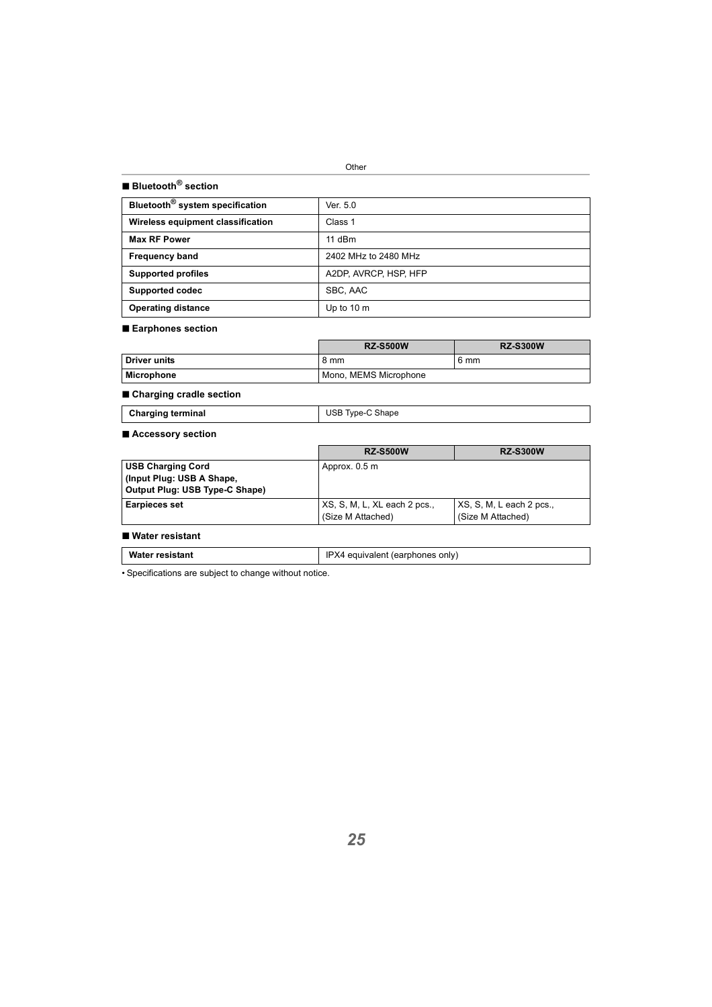#### ∫ **Bluetooth® section**

| Bluetooth <sup>®</sup> system specification | Ver. 5.0              |
|---------------------------------------------|-----------------------|
|                                             | Class 1               |
| Wireless equipment classification           |                       |
| <b>Max RF Power</b>                         | $11$ dBm              |
| <b>Frequency band</b>                       | 2402 MHz to 2480 MHz  |
| <b>Supported profiles</b>                   | A2DP, AVRCP, HSP, HFP |
| Supported codec                             | SBC, AAC              |
| <b>Operating distance</b>                   | Up to 10 m            |

#### ∫ **Earphones section**

|              | <b>RZ-S500W</b>       | <b>RZ-S300W</b> |
|--------------|-----------------------|-----------------|
| Driver units | 8 mm                  | 6 mm            |
| Microphone   | Mono, MEMS Microphone |                 |

#### ∫ **Charging cradle section**

| <b>Charging terminal</b> | USB Type-C Shape |
|--------------------------|------------------|

#### ∫ **Accessory section**

|                                | <b>RZ-S500W</b>              | <b>RZ-S300W</b>          |
|--------------------------------|------------------------------|--------------------------|
| <b>USB Charging Cord</b>       | Approx. 0.5 m                |                          |
| (Input Plug: USB A Shape,      |                              |                          |
| Output Plug: USB Type-C Shape) |                              |                          |
| <b>Earpieces set</b>           | XS, S, M, L, XL each 2 pcs., | XS, S, M, L each 2 pcs., |
|                                | (Size M Attached)            | (Size M Attached)        |

#### ∫ **Water resistant**

| IPX4 equivalent (earphones only)<br>Water resistant |
|-----------------------------------------------------|
|-----------------------------------------------------|

• Specifications are subject to change without notice.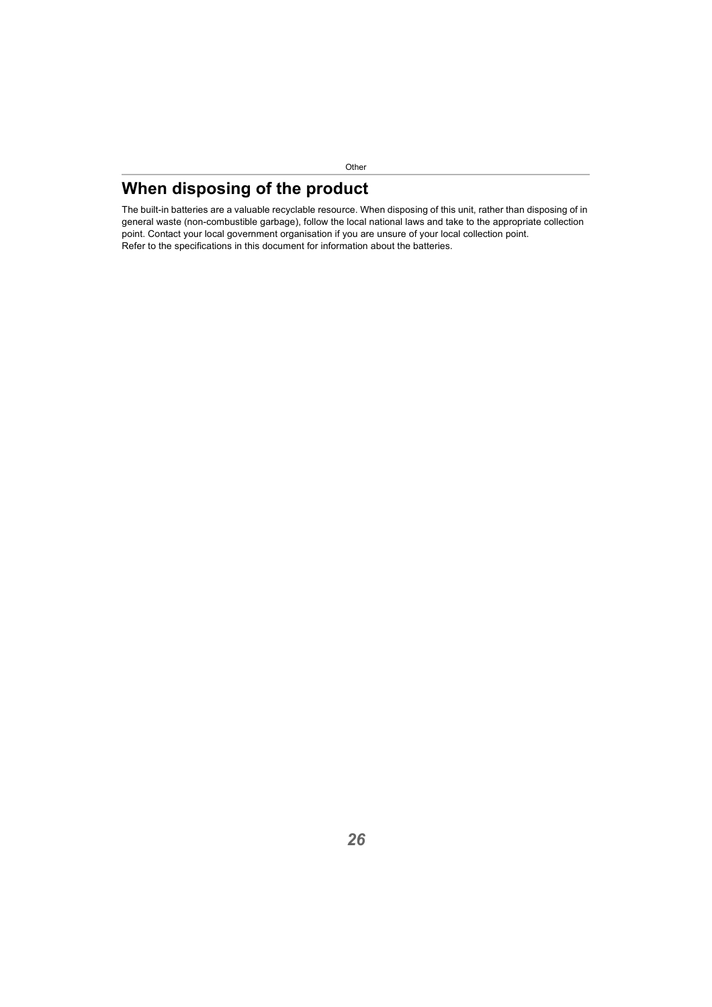# <span id="page-25-0"></span>**When disposing of the product**

The built-in batteries are a valuable recyclable resource. When disposing of this unit, rather than disposing of in general waste (non-combustible garbage), follow the local national laws and take to the appropriate collection point. Contact your local government organisation if you are unsure of your local collection point. Refer to the specifications in this document for information about the batteries.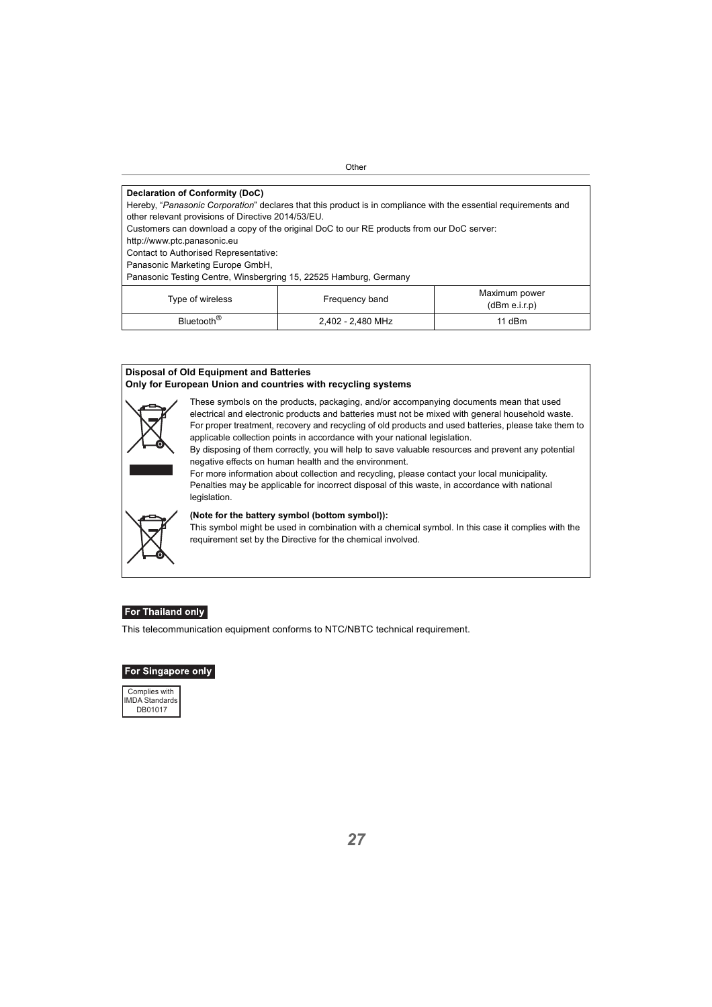#### **Declaration of Conformity (DoC)**

Hereby, "*Panasonic Corporation*" declares that this product is in compliance with the essential requirements and other relevant provisions of Directive 2014/53/EU.

Customers can download a copy of the original DoC to our RE products from our DoC server:

http://www.ptc.panasonic.eu

Contact to Authorised Representative:

Panasonic Marketing Europe GmbH,

Panasonic Testing Centre, Winsbergring 15, 22525 Hamburg, Germany

| Type of wireless       | Frequency band    | Maximum power<br>(dBm e.i.r.p) |
|------------------------|-------------------|--------------------------------|
| Bluetooth <sup>®</sup> | 2,402 - 2,480 MHz | 11 dBm                         |

#### **Disposal of Old Equipment and Batteries Only for European Union and countries with recycling systems**



These symbols on the products, packaging, and/or accompanying documents mean that used electrical and electronic products and batteries must not be mixed with general household waste. For proper treatment, recovery and recycling of old products and used batteries, please take them to applicable collection points in accordance with your national legislation.

By disposing of them correctly, you will help to save valuable resources and prevent any potential negative effects on human health and the environment.

For more information about collection and recycling, please contact your local municipality. Penalties may be applicable for incorrect disposal of this waste, in accordance with national **legislation** 



#### **(Note for the battery symbol (bottom symbol)):**

This symbol might be used in combination with a chemical symbol. In this case it complies with the requirement set by the Directive for the chemical involved.

#### For Thailand only

This telecommunication equipment conforms to NTC/NBTC technical requirement.

#### **For Singapore only**

Complies with IMDA Standards DB01017